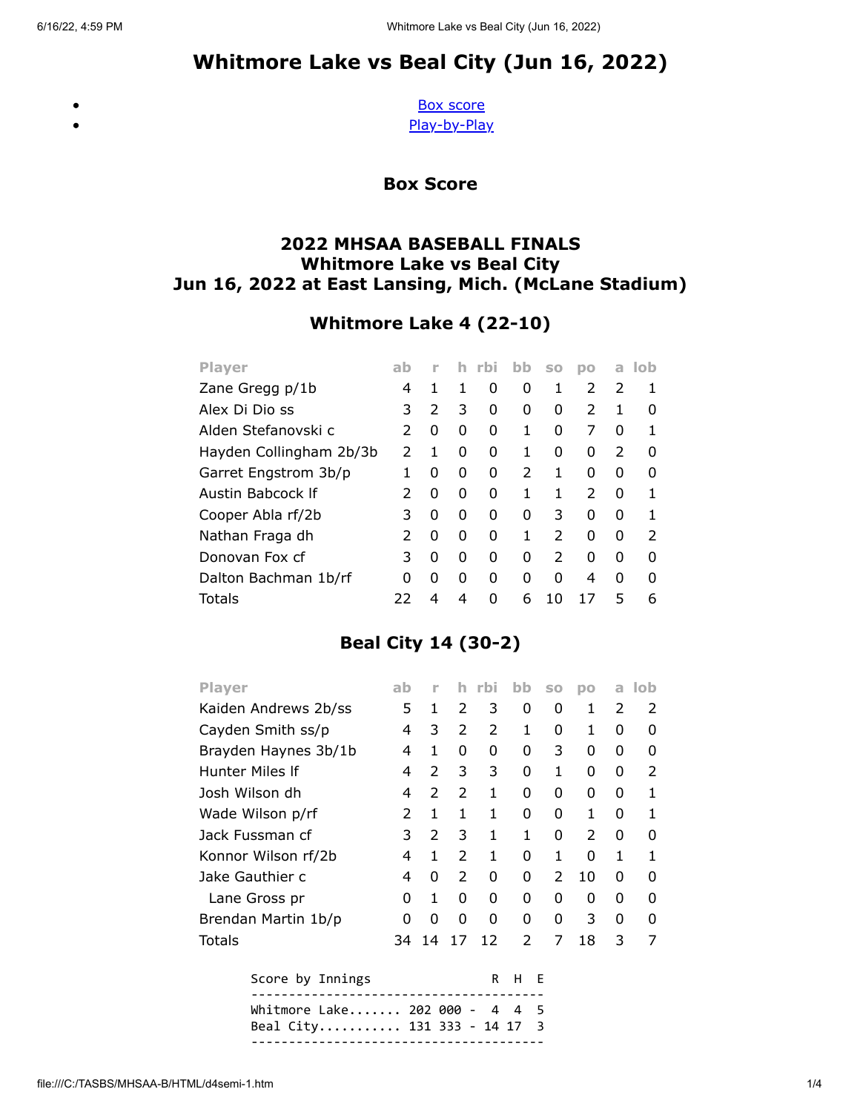# Whitmore Lake vs Beal City (Jun 16, 2022)

<span id="page-0-0"></span> $\bullet$ 

[Box score](#page-0-0) [Play-by-Play](#page-1-0)

Box Score

### 2022 MHSAA BASEBALL FINALS Whitmore Lake vs Beal City Jun 16, 2022 at East Lansing, Mich. (McLane Stadium)

## Whitmore Lake 4 (22-10)

| <b>Player</b>           | ab |   | h | rbi | bb            | <b>SO</b>     | po | a             | lob           |
|-------------------------|----|---|---|-----|---------------|---------------|----|---------------|---------------|
| Zane Gregg p/1b         | 4  | 1 | 1 | 0   | 0             | 1             | 2  | 2             | 1             |
| Alex Di Dio ss          | 3  | 2 | 3 | 0   | 0             | 0             | 2  | 1             | O             |
| Alden Stefanovski c     | 2  | 0 | 0 | 0   | 1             | 0             | 7  | 0             | 1             |
| Hayden Collingham 2b/3b | 2  | 1 | 0 | O   |               | 0             | 0  | $\mathcal{P}$ | 0             |
| Garret Engstrom 3b/p    |    | 0 | 0 | O   | $\mathcal{P}$ | 1             | O  | 0             | ŋ             |
| Austin Babcock If       | 2  | 0 | 0 | O   |               | 1             | 2  | 0             | 1             |
| Cooper Abla rf/2b       | 3  | 0 | 0 | O   | 0             | 3             | 0  | 0             | 1             |
| Nathan Fraga dh         | 2  | 0 | 0 | O   |               | $\mathcal{P}$ | 0  | 0             | $\mathcal{P}$ |
| Donovan Fox cf          | 3  | 0 | 0 | ი   | 0             | $\mathcal{P}$ | O  | 0             | ŋ             |
| Dalton Bachman 1b/rf    | ი  | 0 | 0 | ი   | O             | O             | 4  | O             | O             |
| Totals                  | 22 | 4 | 4 | n   | 6             | 10            |    | 5             | 6             |

## Beal City 14 (30-2)

| Player               | ab | n             | h             | rbi           | bb            | S <sub>0</sub> | DO            | a             | lob |
|----------------------|----|---------------|---------------|---------------|---------------|----------------|---------------|---------------|-----|
| Kaiden Andrews 2b/ss | 5  | 1             | $\mathcal{P}$ | 3             | 0             | 0              | 1             | $\mathcal{P}$ | 2   |
| Cayden Smith ss/p    | 4  | 3             | 2             | $\mathcal{P}$ | 1             | 0              | 1             | 0             | 0   |
| Brayden Haynes 3b/1b | 4  | 1             | 0             | 0             | 0             | 3              | 0             | 0             | 0   |
| Hunter Miles If      | 4  | 2             | 3             | 3             | 0             | 1              | 0             | 0             | 2   |
| Josh Wilson dh       | 4  | $\mathcal{P}$ | 2             | 1             | 0             | O              | 0             | 0             | 1   |
| Wade Wilson p/rf     | 2  | 1             | 1             | 1             | 0             | 0              | 1             | 0             | 1   |
| Jack Fussman cf      | 3  | $\mathcal{P}$ | 3             | 1             | 1             | 0              | $\mathcal{P}$ | 0             | 0   |
| Konnor Wilson rf/2b  | 4  | 1             | 2             | 1             | 0             | 1              | 0             | 1             | 1   |
| Jake Gauthier c      | 4  | 0             | $\mathcal{P}$ | 0             | 0             | $\mathcal{P}$  | 10            | 0             | O   |
| Lane Gross pr        | 0  | 1             | 0             | 0             | 0             | 0              | 0             | 0             | 0   |
| Brendan Martin 1b/p  | O  | 0             | 0             | O             | 0             | 0              | 3             | 0             | O   |
| Totals               | 34 | 14            | 17            | 12            | $\mathcal{P}$ | 7              | 18            | 3             | 7   |
| Score by Innings     |    |               |               | R             | н             | F              |               |               |     |
|                      |    |               |               |               |               |                |               |               |     |

| Whitmore Lake 202 000 -  4  4  5 |  |  |  |
|----------------------------------|--|--|--|
| Beal City 131 333 - 14 17 3      |  |  |  |
|                                  |  |  |  |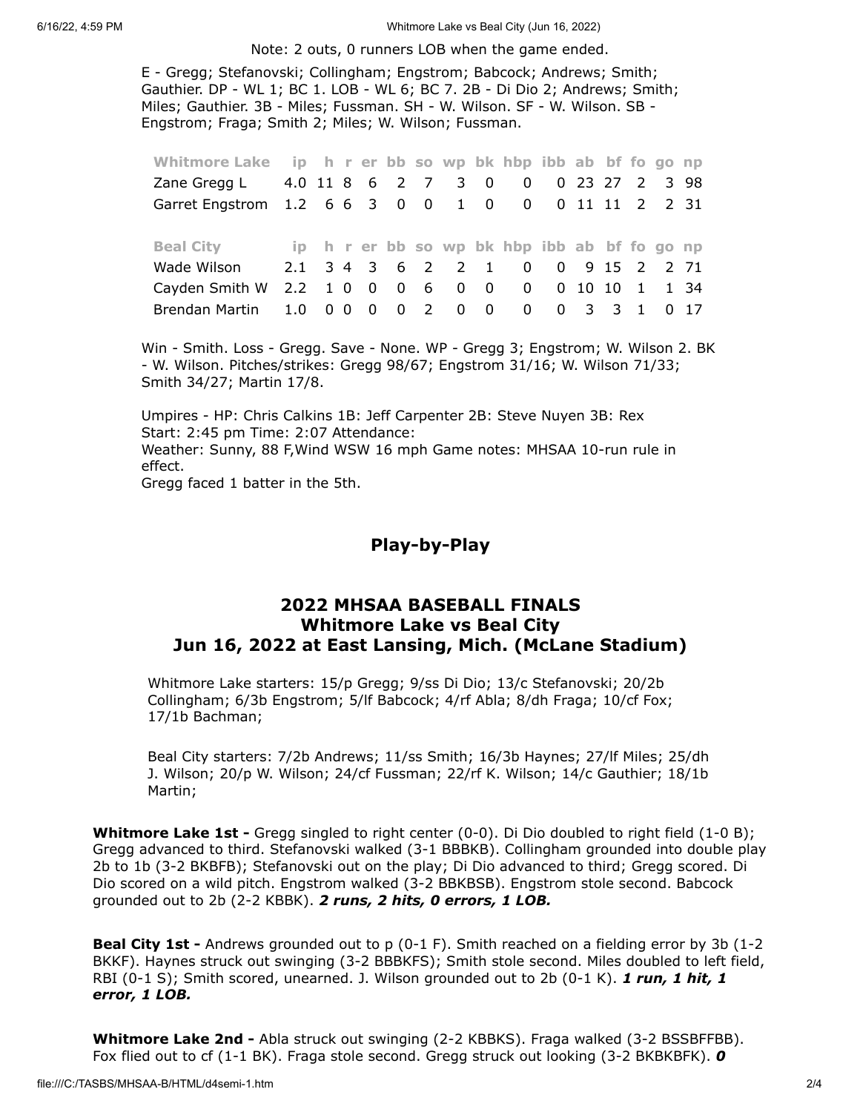6/16/22, 4:59 PM Whitmore Lake vs Beal City (Jun 16, 2022)

Note: 2 outs, 0 runners LOB when the game ended.

E - Gregg; Stefanovski; Collingham; Engstrom; Babcock; Andrews; Smith; Gauthier. DP - WL 1; BC 1. LOB - WL 6; BC 7. 2B - Di Dio 2; Andrews; Smith; Miles; Gauthier. 3B - Miles; Fussman. SH - W. Wilson. SF - W. Wilson. SB - Engstrom; Fraga; Smith 2; Miles; W. Wilson; Fussman.

| Whitmore Lake ip h r er bb so wp bk hbp ibb ab bf fo go np |  |  |  |  |  |  |  |  |
|------------------------------------------------------------|--|--|--|--|--|--|--|--|
| Zane Gregg L 4.0 11 8 6 2 7 3 0 0 0 23 27 2 3 98           |  |  |  |  |  |  |  |  |
| Garret Engstrom 1.2 6 6 3 0 0 1 0 0 0 11 11 2 2 31         |  |  |  |  |  |  |  |  |
|                                                            |  |  |  |  |  |  |  |  |
| Beal City ip h r er bb so wp bk hbp ibb ab bf fo go np     |  |  |  |  |  |  |  |  |
| Wade Wilson 2.1 3 4 3 6 2 2 1 0 0 9 15 2 2 71              |  |  |  |  |  |  |  |  |
| Cayden Smith W 2.2 1 0 0 0 6 0 0 0 0 10 10 1 1 34          |  |  |  |  |  |  |  |  |

Win - Smith. Loss - Gregg. Save - None. WP - Gregg 3; Engstrom; W. Wilson 2. BK - W. Wilson. Pitches/strikes: Gregg 98/67; Engstrom 31/16; W. Wilson 71/33; Smith 34/27; Martin 17/8.

Umpires - HP: Chris Calkins 1B: Jeff Carpenter 2B: Steve Nuyen 3B: Rex Start: 2:45 pm Time: 2:07 Attendance: Weather: Sunny, 88 F,Wind WSW 16 mph Game notes: MHSAA 10-run rule in effect.

<span id="page-1-0"></span>Gregg faced 1 batter in the 5th.

#### Play-by-Play

#### 2022 MHSAA BASEBALL FINALS Whitmore Lake vs Beal City Jun 16, 2022 at East Lansing, Mich. (McLane Stadium)

Whitmore Lake starters: 15/p Gregg; 9/ss Di Dio; 13/c Stefanovski; 20/2b Collingham; 6/3b Engstrom; 5/lf Babcock; 4/rf Abla; 8/dh Fraga; 10/cf Fox; 17/1b Bachman;

Beal City starters: 7/2b Andrews; 11/ss Smith; 16/3b Haynes; 27/lf Miles; 25/dh J. Wilson; 20/p W. Wilson; 24/cf Fussman; 22/rf K. Wilson; 14/c Gauthier; 18/1b Martin;

Whitmore Lake 1st - Gregg singled to right center (0-0). Di Dio doubled to right field (1-0 B); Gregg advanced to third. Stefanovski walked (3-1 BBBKB). Collingham grounded into double play 2b to 1b (3-2 BKBFB); Stefanovski out on the play; Di Dio advanced to third; Gregg scored. Di Dio scored on a wild pitch. Engstrom walked (3-2 BBKBSB). Engstrom stole second. Babcock grounded out to 2b (2-2 KBBK). 2 runs, 2 hits, 0 errors, 1 LOB.

**Beal City 1st -** Andrews grounded out to p (0-1 F). Smith reached on a fielding error by 3b (1-2 BKKF). Haynes struck out swinging (3-2 BBBKFS); Smith stole second. Miles doubled to left field, RBI (0-1 S); Smith scored, unearned. J. Wilson grounded out to 2b (0-1 K). 1 run, 1 hit, 1 error, 1 LOB.

Whitmore Lake 2nd - Abla struck out swinging (2-2 KBBKS). Fraga walked (3-2 BSSBFFBB). Fox flied out to cf (1-1 BK). Fraga stole second. Gregg struck out looking (3-2 BKBKBFK).  $\boldsymbol{0}$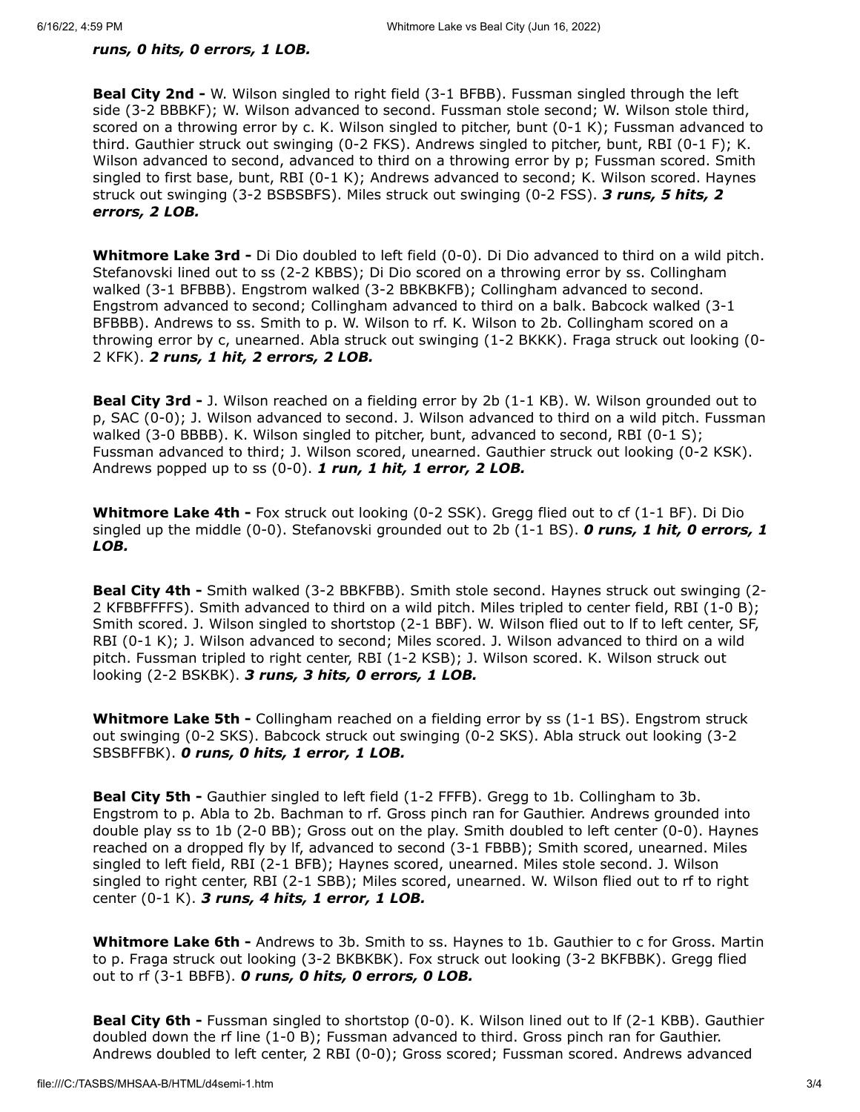#### runs, 0 hits, 0 errors, 1 LOB.

**Beal City 2nd -** W. Wilson singled to right field (3-1 BFBB). Fussman singled through the left side (3-2 BBBKF); W. Wilson advanced to second. Fussman stole second; W. Wilson stole third, scored on a throwing error by c. K. Wilson singled to pitcher, bunt (0-1 K); Fussman advanced to third. Gauthier struck out swinging (0-2 FKS). Andrews singled to pitcher, bunt, RBI (0-1 F); K. Wilson advanced to second, advanced to third on a throwing error by p; Fussman scored. Smith singled to first base, bunt, RBI (0-1 K); Andrews advanced to second; K. Wilson scored. Haynes struck out swinging (3-2 BSBSBFS). Miles struck out swinging (0-2 FSS). 3 runs, 5 hits, 2 errors, 2 LOB.

Whitmore Lake 3rd - Di Dio doubled to left field (0-0). Di Dio advanced to third on a wild pitch. Stefanovski lined out to ss (2-2 KBBS); Di Dio scored on a throwing error by ss. Collingham walked (3-1 BFBBB). Engstrom walked (3-2 BBKBKFB); Collingham advanced to second. Engstrom advanced to second; Collingham advanced to third on a balk. Babcock walked (3-1 BFBBB). Andrews to ss. Smith to p. W. Wilson to rf. K. Wilson to 2b. Collingham scored on a throwing error by c, unearned. Abla struck out swinging (1-2 BKKK). Fraga struck out looking (0- 2 KFK). 2 runs, 1 hit, 2 errors, 2 LOB.

Beal City 3rd - J. Wilson reached on a fielding error by 2b (1-1 KB). W. Wilson grounded out to p, SAC (0-0); J. Wilson advanced to second. J. Wilson advanced to third on a wild pitch. Fussman walked (3-0 BBBB). K. Wilson singled to pitcher, bunt, advanced to second, RBI (0-1 S); Fussman advanced to third; J. Wilson scored, unearned. Gauthier struck out looking (0-2 KSK). Andrews popped up to ss  $(0-0)$ . 1 run, 1 hit, 1 error, 2 LOB.

Whitmore Lake 4th - Fox struck out looking (0-2 SSK). Gregg flied out to cf (1-1 BF). Di Dio singled up the middle  $(0-0)$ . Stefanovski grounded out to 2b  $(1-1)$  BS). **O runs, 1 hit, 0 errors, 1** LOB.

Beal City 4th - Smith walked (3-2 BBKFBB). Smith stole second. Haynes struck out swinging (2- 2 KFBBFFFFS). Smith advanced to third on a wild pitch. Miles tripled to center field, RBI (1-0 B); Smith scored. J. Wilson singled to shortstop (2-1 BBF). W. Wilson flied out to lf to left center, SF, RBI (0-1 K); J. Wilson advanced to second; Miles scored. J. Wilson advanced to third on a wild pitch. Fussman tripled to right center, RBI (1-2 KSB); J. Wilson scored. K. Wilson struck out looking (2-2 BSKBK). 3 runs, 3 hits, 0 errors, 1 LOB.

Whitmore Lake 5th - Collingham reached on a fielding error by ss (1-1 BS). Engstrom struck out swinging (0-2 SKS). Babcock struck out swinging (0-2 SKS). Abla struck out looking (3-2 SBSBFFBK). 0 runs, 0 hits, 1 error, 1 LOB.

**Beal City 5th -** Gauthier singled to left field (1-2 FFFB). Gregg to 1b. Collingham to 3b. Engstrom to p. Abla to 2b. Bachman to rf. Gross pinch ran for Gauthier. Andrews grounded into double play ss to 1b (2-0 BB); Gross out on the play. Smith doubled to left center (0-0). Haynes reached on a dropped fly by lf, advanced to second (3-1 FBBB); Smith scored, unearned. Miles singled to left field, RBI (2-1 BFB); Haynes scored, unearned. Miles stole second. J. Wilson singled to right center, RBI (2-1 SBB); Miles scored, unearned. W. Wilson flied out to rf to right center  $(0-1 K)$ . 3 runs, 4 hits, 1 error, 1 LOB.

Whitmore Lake 6th - Andrews to 3b. Smith to ss. Haynes to 1b. Gauthier to c for Gross. Martin to p. Fraga struck out looking (3-2 BKBKBK). Fox struck out looking (3-2 BKFBBK). Gregg flied out to rf (3-1 BBFB). O runs, O hits, O errors, O LOB.

Beal City 6th - Fussman singled to shortstop (0-0). K. Wilson lined out to If (2-1 KBB). Gauthier doubled down the rf line (1-0 B); Fussman advanced to third. Gross pinch ran for Gauthier. Andrews doubled to left center, 2 RBI (0-0); Gross scored; Fussman scored. Andrews advanced